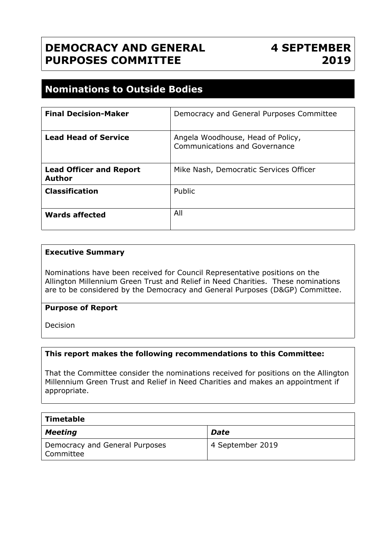## **DEMOCRACY AND GENERAL PURPOSES COMMITTEE**

# **4 SEPTEMBER 2019**

### **Nominations to Outside Bodies**

| <b>Final Decision-Maker</b>                     | Democracy and General Purposes Committee                           |
|-------------------------------------------------|--------------------------------------------------------------------|
| <b>Lead Head of Service</b>                     | Angela Woodhouse, Head of Policy,<br>Communications and Governance |
| <b>Lead Officer and Report</b><br><b>Author</b> | Mike Nash, Democratic Services Officer                             |
| <b>Classification</b>                           | Public                                                             |
| Wards affected                                  | All                                                                |

#### **Executive Summary**

Nominations have been received for Council Representative positions on the Allington Millennium Green Trust and Relief in Need Charities. These nominations are to be considered by the Democracy and General Purposes (D&GP) Committee.

#### **Purpose of Report**

Decision

#### **This report makes the following recommendations to this Committee:**

That the Committee consider the nominations received for positions on the Allington Millennium Green Trust and Relief in Need Charities and makes an appointment if appropriate.

| $\mid$ Timetable                              |                  |  |  |  |
|-----------------------------------------------|------------------|--|--|--|
| Meeting                                       | Date             |  |  |  |
| Democracy and General Purposes<br>l Committee | 4 September 2019 |  |  |  |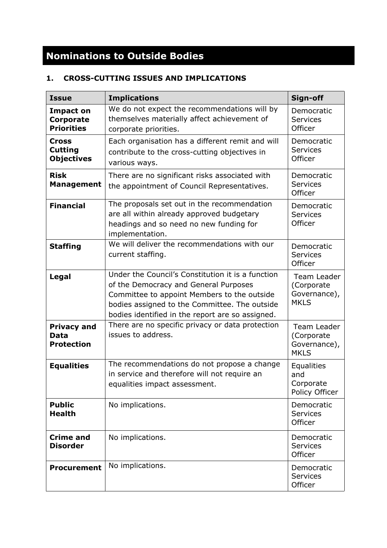# **Nominations to Outside Bodies**

#### **1. CROSS-CUTTING ISSUES AND IMPLICATIONS**

| <b>Issue</b>                                           | <b>Implications</b>                                                                                                                                                                                                                            | Sign-off                                                 |
|--------------------------------------------------------|------------------------------------------------------------------------------------------------------------------------------------------------------------------------------------------------------------------------------------------------|----------------------------------------------------------|
| <b>Impact on</b><br>Corporate<br><b>Priorities</b>     | We do not expect the recommendations will by<br>themselves materially affect achievement of<br>corporate priorities.                                                                                                                           | Democratic<br><b>Services</b><br>Officer                 |
| <b>Cross</b><br><b>Cutting</b><br><b>Objectives</b>    | Each organisation has a different remit and will<br>contribute to the cross-cutting objectives in<br>various ways.                                                                                                                             | Democratic<br><b>Services</b><br>Officer                 |
| <b>Risk</b><br><b>Management</b>                       | There are no significant risks associated with<br>the appointment of Council Representatives.                                                                                                                                                  | Democratic<br><b>Services</b><br>Officer                 |
| <b>Financial</b>                                       | The proposals set out in the recommendation<br>are all within already approved budgetary<br>headings and so need no new funding for<br>implementation.                                                                                         | Democratic<br><b>Services</b><br>Officer                 |
| <b>Staffing</b>                                        | We will deliver the recommendations with our<br>current staffing.                                                                                                                                                                              | Democratic<br>Services<br>Officer                        |
| Legal                                                  | Under the Council's Constitution it is a function<br>of the Democracy and General Purposes<br>Committee to appoint Members to the outside<br>bodies assigned to the Committee. The outside<br>bodies identified in the report are so assigned. | Team Leader<br>(Corporate<br>Governance),<br><b>MKLS</b> |
| <b>Privacy and</b><br><b>Data</b><br><b>Protection</b> | There are no specific privacy or data protection<br>issues to address.                                                                                                                                                                         | Team Leader<br>(Corporate<br>Governance),<br><b>MKLS</b> |
| <b>Equalities</b>                                      | The recommendations do not propose a change<br>in service and therefore will not require an<br>equalities impact assessment.                                                                                                                   | <b>Equalities</b><br>and<br>Corporate<br>Policy Officer  |
| <b>Public</b><br><b>Health</b>                         | No implications.                                                                                                                                                                                                                               | Democratic<br>Services<br>Officer                        |
| <b>Crime and</b><br><b>Disorder</b>                    | No implications.                                                                                                                                                                                                                               | Democratic<br><b>Services</b><br>Officer                 |
| <b>Procurement</b>                                     | No implications.                                                                                                                                                                                                                               | Democratic<br>Services<br>Officer                        |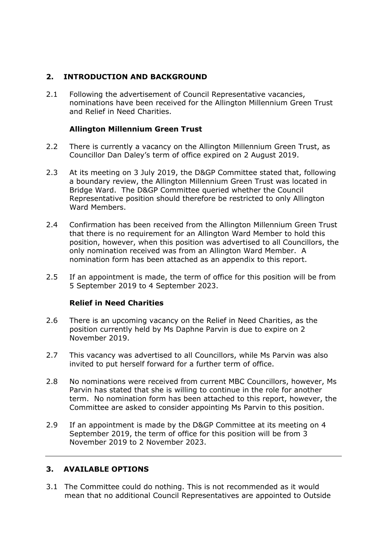#### **2. INTRODUCTION AND BACKGROUND**

2.1 Following the advertisement of Council Representative vacancies, nominations have been received for the Allington Millennium Green Trust and Relief in Need Charities.

#### **Allington Millennium Green Trust**

- 2.2 There is currently a vacancy on the Allington Millennium Green Trust, as Councillor Dan Daley's term of office expired on 2 August 2019.
- 2.3 At its meeting on 3 July 2019, the D&GP Committee stated that, following a boundary review, the Allington Millennium Green Trust was located in Bridge Ward. The D&GP Committee queried whether the Council Representative position should therefore be restricted to only Allington Ward Members.
- 2.4 Confirmation has been received from the Allington Millennium Green Trust that there is no requirement for an Allington Ward Member to hold this position, however, when this position was advertised to all Councillors, the only nomination received was from an Allington Ward Member. A nomination form has been attached as an appendix to this report.
- 2.5 If an appointment is made, the term of office for this position will be from 5 September 2019 to 4 September 2023.

#### **Relief in Need Charities**

- 2.6 There is an upcoming vacancy on the Relief in Need Charities, as the position currently held by Ms Daphne Parvin is due to expire on 2 November 2019.
- 2.7 This vacancy was advertised to all Councillors, while Ms Parvin was also invited to put herself forward for a further term of office.
- 2.8 No nominations were received from current MBC Councillors, however, Ms Parvin has stated that she is willing to continue in the role for another term. No nomination form has been attached to this report, however, the Committee are asked to consider appointing Ms Parvin to this position.
- 2.9 If an appointment is made by the D&GP Committee at its meeting on 4 September 2019, the term of office for this position will be from 3 November 2019 to 2 November 2023.

#### **3. AVAILABLE OPTIONS**

3.1 The Committee could do nothing. This is not recommended as it would mean that no additional Council Representatives are appointed to Outside